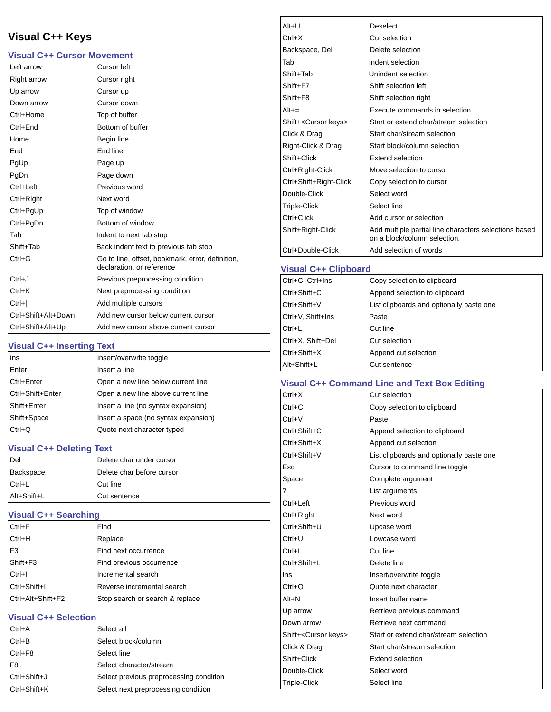# **Visual C++ Keys**

## **Visual C++ Cursor Movement**

| Left arrow          | Cursor left                                                                   |
|---------------------|-------------------------------------------------------------------------------|
| <b>Right arrow</b>  | Cursor right                                                                  |
| Up arrow            | Cursor up                                                                     |
| Down arrow          | Cursor down                                                                   |
| Ctrl+Home           | Top of buffer                                                                 |
| Ctrl+End            | Bottom of buffer                                                              |
| Home                | Begin line                                                                    |
| End                 | End line                                                                      |
| PgUp                | Page up                                                                       |
| PgDn                | Page down                                                                     |
| Ctrl+Left           | Previous word                                                                 |
| Ctrl+Right          | Next word                                                                     |
| Ctrl+PgUp           | Top of window                                                                 |
| Ctrl+PqDn           | Bottom of window                                                              |
| Tab                 | Indent to next tab stop                                                       |
| Shift+Tab           | Back indent text to previous tab stop                                         |
| $Ctrl + G$          | Go to line, offset, bookmark, error, definition,<br>declaration, or reference |
| $Ctrl + J$          | Previous preprocessing condition                                              |
| $Ctrl+K$            | Next preprocessing condition                                                  |
| $Ctrl +  $          | Add multiple cursors                                                          |
| Ctrl+Shift+Alt+Down | Add new cursor below current cursor                                           |
| Ctrl+Shift+Alt+Up   | Add new cursor above current cursor                                           |

## **Visual C++ Inserting Text**

| Ins              | Insert/overwrite toggle              |
|------------------|--------------------------------------|
| Enter            | Insert a line                        |
| Ctrl+Enter       | Open a new line below current line   |
| Ctrl+Shift+Enter | Open a new line above current line   |
| Shift+Enter      | Insert a line (no syntax expansion)  |
| Shift+Space      | Insert a space (no syntax expansion) |
| $Ctrl + Q$       | Quote next character typed           |

**Visual C++ Deleting Text**

| Del         | Delete char under cursor  |
|-------------|---------------------------|
| Backspace   | Delete char before cursor |
| $Ctrl+L$    | Cut line                  |
| Alt+Shift+L | Cut sentence              |

**Visual C++ Searching**

| $Ctrl + F$        | Find                            |
|-------------------|---------------------------------|
| $Ctrl+H$          | Replace                         |
| F <sub>3</sub>    | Find next occurrence            |
| $Shift+F3$        | Find previous occurrence        |
| $Ctrl + I$        | Incremental search              |
| Ctrl+Shift+I      | Reverse incremental search      |
| Ctrl+Alt+Shift+F2 | Stop search or search & replace |

## **Visual C++ Selection**

| $Ctrl+A$     | Select all                              |
|--------------|-----------------------------------------|
| $Ctrl + B$   | Select block/column                     |
| Ctrl+F8      | Select line                             |
| F8           | Select character/stream                 |
| Ctrl+Shift+J | Select previous preprocessing condition |
| Ctrl+Shift+K | Select next preprocessing condition     |

| $Alt+U$<br>$Ctrl+X$<br>Backspace, Del | <b>Deselect</b><br>Cut selection<br>Delete selection                                  |
|---------------------------------------|---------------------------------------------------------------------------------------|
|                                       |                                                                                       |
|                                       |                                                                                       |
|                                       |                                                                                       |
| Tab                                   | Indent selection                                                                      |
| Shift+Tab                             | Unindent selection                                                                    |
| Shift+F7                              | Shift selection left                                                                  |
| Shift+F8                              | Shift selection right                                                                 |
| $Alt +=$                              | Execute commands in selection                                                         |
| Shift+ <cursor keys=""></cursor>      | Start or extend char/stream selection                                                 |
| Click & Drag                          | Start char/stream selection                                                           |
| Right-Click & Drag                    | Start block/column selection                                                          |
| Shift+Click                           | <b>Extend selection</b>                                                               |
| Ctrl+Right-Click                      | Move selection to cursor                                                              |
| Ctrl+Shift+Right-Click                | Copy selection to cursor                                                              |
| Double-Click                          | Select word                                                                           |
| <b>Triple-Click</b>                   | Select line                                                                           |
| Ctrl+Click                            | Add cursor or selection                                                               |
| Shift+Right-Click                     | Add multiple partial line characters selections based<br>on a block/column selection. |
| Ctrl+Double-Click                     | Add selection of words                                                                |

## **Visual C++ Clipboard**

| Ctrl+C, Ctrl+Ins  | Copy selection to clipboard              |
|-------------------|------------------------------------------|
| Ctrl+Shift+C      | Append selection to clipboard            |
| Ctrl+Shift+V      | List clipboards and optionally paste one |
| Ctrl+V, Shift+Ins | Paste                                    |
| $Ctrl+L$          | Cut line                                 |
| Ctrl+X, Shift+Del | Cut selection                            |
| Ctrl+Shift+X      | Append cut selection                     |
| Alt+Shift+L       | Cut sentence                             |
|                   |                                          |

## **Visual C++ Command Line and Text Box Editing**

| $Ctrl+X$                         | Cut selection                            |
|----------------------------------|------------------------------------------|
| $Ctrl + C$                       | Copy selection to clipboard              |
| Ctrl+V                           | Paste                                    |
| Ctrl+Shift+C                     | Append selection to clipboard            |
| Ctrl+Shift+X                     | Append cut selection                     |
| Ctrl+Shift+V                     | List clipboards and optionally paste one |
| Esc                              | Cursor to command line toggle            |
| Space                            | Complete argument                        |
| ?                                | List arguments                           |
| Ctrl+Left                        | Previous word                            |
| Ctrl+Right                       | Next word                                |
| Ctrl+Shift+U                     | Upcase word                              |
| Ctrl+U                           | Lowcase word                             |
| Ctrl+L                           | Cut line                                 |
| Ctrl+Shift+L                     | Delete line                              |
| Ins                              | Insert/overwrite toggle                  |
| Ctrl+O                           | Quote next character                     |
| Alt+N                            | Insert buffer name                       |
| Up arrow                         | Retrieve previous command                |
| Down arrow                       | Retrieve next command                    |
| Shift+ <cursor keys=""></cursor> | Start or extend char/stream selection    |
| Click & Drag                     | Start char/stream selection              |
| Shift+Click                      | Extend selection                         |
| Double-Click                     | Select word                              |
| Triple-Click                     | Select line                              |